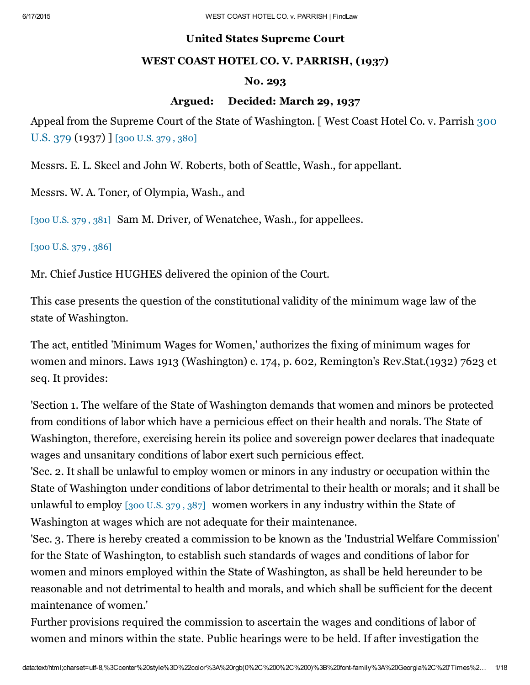# United States Supreme Court

# WEST COAST HOTEL CO. V. PARRISH, (1937)

# No. 293

# Argued: Decided: March 29, 1937

Appeal from the Supreme Court of the State of [Washington.](http://caselaw.findlaw.com/us-supreme-court/300/379.html) [ West Coast Hotel Co. v. Parrish 300 U.S. 379 (1937) ] [300 U.S. 379 , 380]

Messrs. E. L. Skeel and John W. Roberts, both of Seattle, Wash., for appellant.

Messrs. W. A. Toner, of Olympia, Wash., and

[300 U.S. 379 , 381] Sam M. Driver, of Wenatchee, Wash., for appellees.

[300 U.S. 379, 386]

Mr. Chief Justice HUGHES delivered the opinion of the Court.

This case presents the question of the constitutional validity of the minimum wage law of the state of Washington.

The act, entitled 'Minimum Wages for Women,' authorizes the fixing of minimum wages for women and minors. Laws 1913 (Washington) c. 174, p. 602, Remington's Rev.Stat.(1932) 7623 et seq. It provides:

'Section 1. The welfare of the State of Washington demands that women and minors be protected from conditions of labor which have a pernicious effect on their health and norals. The State of Washington, therefore, exercising herein its police and sovereign power declares that inadequate wages and unsanitary conditions of labor exert such pernicious effect.

'Sec. 2. It shall be unlawful to employ women or minors in any industry or occupation within the State of Washington under conditions of labor detrimental to their health or morals; and it shall be unlawful to employ [300 U.S. 379 , 387] women workers in any industry within the State of Washington at wages which are not adequate for their maintenance.

'Sec. 3. There is hereby created a commission to be known as the 'Industrial Welfare Commission' for the State of Washington, to establish such standards of wages and conditions of labor for women and minors employed within the State of Washington, as shall be held hereunder to be reasonable and not detrimental to health and morals, and which shall be sufficient for the decent maintenance of women.'

Further provisions required the commission to ascertain the wages and conditions of labor of women and minors within the state. Public hearings were to be held. If after investigation the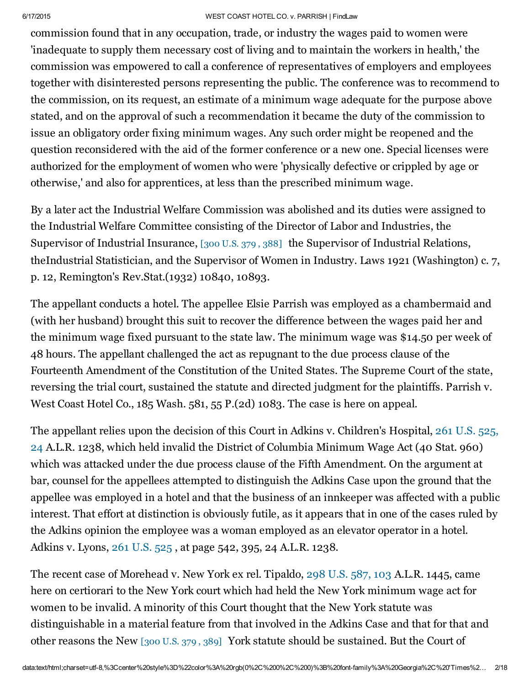commission found that in any occupation, trade, or industry the wages paid to women were 'inadequate to supply them necessary cost of living and to maintain the workers in health,' the commission was empowered to call a conference of representatives of employers and employees together with disinterested persons representing the public. The conference was to recommend to the commission, on its request, an estimate of a minimum wage adequate for the purpose above stated, and on the approval of such a recommendation it became the duty of the commission to issue an obligatory order fixing minimum wages. Any such order might be reopened and the question reconsidered with the aid of the former conference or a new one. Special licenses were authorized for the employment of women who were 'physically defective or crippled by age or otherwise,' and also for apprentices, at less than the prescribed minimum wage.

By a later act the Industrial Welfare Commission was abolished and its duties were assigned to the Industrial Welfare Committee consisting of the Director of Labor and Industries, the Supervisor of Industrial Insurance, [300 U.S. 379 , 388] the Supervisor of Industrial Relations, theIndustrial Statistician, and the Supervisor of Women in Industry. Laws 1921 (Washington) c. 7, p. 12, Remington's Rev.Stat.(1932) 10840, 10893.

The appellant conducts a hotel. The appellee Elsie Parrish was employed as a chambermaid and (with her husband) brought this suit to recover the difference between the wages paid her and the minimum wage fixed pursuant to the state law. The minimum wage was \$14.50 per week of 48 hours. The appellant challenged the act as repugnant to the due process clause of the Fourteenth Amendment of the Constitution of the United States. The Supreme Court of the state, reversing the trial court, sustained the statute and directed judgment for the plaintiffs. Parrish v. West Coast Hotel Co., 185 Wash. 581, 55 P.(2d) 1083. The case is here on appeal.

The appellant relies upon the decision of this Court in Adkins v. [Children's](http://caselaw.findlaw.com/us-supreme-court/261/525.html#24) Hospital, 261 U.S. 525, 24 A.L.R. 1238, which held invalid the District of Columbia Minimum Wage Act (40 Stat. 960) which was attacked under the due process clause of the Fifth Amendment. On the argument at bar, counsel for the appellees attempted to distinguish the Adkins Case upon the ground that the appellee was employed in a hotel and that the business of an innkeeper was affected with a public interest. That effort at distinction is obviously futile, as it appears that in one of the cases ruled by the Adkins opinion the employee was a woman employed as an elevator operator in a hotel. Adkins v. Lyons, 261 [U.S.](http://caselaw.findlaw.com/us-supreme-court/261/525.html) 525 , at page 542, 395, 24 A.L.R. 1238.

The recent case of Morehead v. New York ex rel. Tipaldo, 298 [U.S.](http://caselaw.findlaw.com/us-supreme-court/298/587.html#103) 587, 103 A.L.R. 1445, came here on certiorari to the New York court which had held the New York minimum wage act for women to be invalid. A minority of this Court thought that the New York statute was distinguishable in a material feature from that involved in the Adkins Case and that for that and other reasons the New [300 U.S. 379 , 389] York statute should be sustained. But the Court of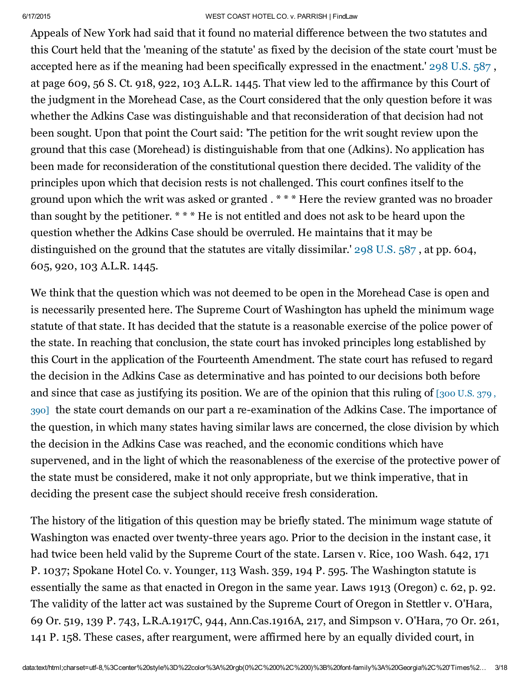Appeals of New York had said that it found no material difference between the two statutes and this Court held that the 'meaning of the statute' as fixed by the decision of the state court 'must be accepted here as if the meaning had been specifically expressed in the enactment.' 298 [U.S.](http://caselaw.findlaw.com/us-supreme-court/298/587.html) 587 , at page 609, 56 S. Ct. 918, 922, 103 A.L.R. 1445. That view led to the affirmance by this Court of the judgment in the Morehead Case, as the Court considered that the only question before it was whether the Adkins Case was distinguishable and that reconsideration of that decision had not been sought. Upon that point the Court said: 'The petition for the writ sought review upon the ground that this case (Morehead) is distinguishable from that one (Adkins). No application has been made for reconsideration of the constitutional question there decided. The validity of the principles upon which that decision rests is not challenged. This court confines itself to the ground upon which the writ was asked or granted . \* \* \* Here the review granted was no broader than sought by the petitioner. \* \* \* He is not entitled and does not ask to be heard upon the question whether the Adkins Case should be overruled. He maintains that it may be distinguished on the ground that the statutes are vitally dissimilar.' 298 [U.S.](http://caselaw.findlaw.com/us-supreme-court/298/587.html) 587 , at pp. 604, 605, 920, 103 A.L.R. 1445.

We think that the question which was not deemed to be open in the Morehead Case is open and is necessarily presented here. The Supreme Court of Washington has upheld the minimum wage statute of that state. It has decided that the statute is a reasonable exercise of the police power of the state. In reaching that conclusion, the state court has invoked principles long established by this Court in the application of the Fourteenth Amendment. The state court has refused to regard the decision in the Adkins Case as determinative and has pointed to our decisions both before and since that case as justifying its position. We are of the opinion that this ruling of [300 U.S. 379 , 390] the state court demands on our part a re-examination of the Adkins Case. The importance of the question, in which many states having similar laws are concerned, the close division by which the decision in the Adkins Case was reached, and the economic conditions which have supervened, and in the light of which the reasonableness of the exercise of the protective power of the state must be considered, make it not only appropriate, but we think imperative, that in deciding the present case the subject should receive fresh consideration.

The history of the litigation of this question may be briefly stated. The minimum wage statute of Washington was enacted over twenty-three years ago. Prior to the decision in the instant case, it had twice been held valid by the Supreme Court of the state. Larsen v. Rice, 100 Wash. 642, 171 P. 1037; Spokane Hotel Co. v. Younger, 113 Wash. 359, 194 P. 595. The Washington statute is essentially the same as that enacted in Oregon in the same year. Laws 1913 (Oregon) c. 62, p. 92. The validity of the latter act was sustained by the Supreme Court of Oregon in Stettler v. O'Hara, 69 Or. 519, 139 P. 743, L.R.A.1917C, 944, Ann.Cas.1916A, 217, and Simpson v. O'Hara, 70 Or. 261, 141 P. 158. These cases, after reargument, were affirmed here by an equally divided court, in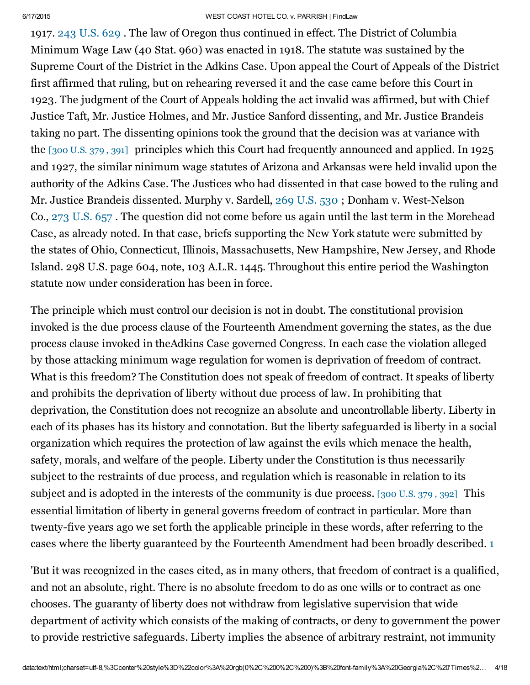1917. 243 [U.S.](http://caselaw.findlaw.com/us-supreme-court/243/629.html) 629 . The law of Oregon thus continued in effect. The District of Columbia Minimum Wage Law (40 Stat. 960) was enacted in 1918. The statute was sustained by the Supreme Court of the District in the Adkins Case. Upon appeal the Court of Appeals of the District first affirmed that ruling, but on rehearing reversed it and the case came before this Court in 1923. The judgment of the Court of Appeals holding the act invalid was affirmed, but with Chief Justice Taft, Mr. Justice Holmes, and Mr. Justice Sanford dissenting, and Mr. Justice Brandeis taking no part. The dissenting opinions took the ground that the decision was at variance with the [300 U.S. 379 , 391] principles which this Court had frequently announced and applied. In 1925 and 1927, the similar ninimum wage statutes of Arizona and Arkansas were held invalid upon the authority of the Adkins Case. The Justices who had dissented in that case bowed to the ruling and Mr. Justice Brandeis dissented. Murphy v. Sardell, 269 [U.S.](http://caselaw.findlaw.com/us-supreme-court/269/530.html) 530; Donham v. West-Nelson Co., 273 [U.S.](http://caselaw.findlaw.com/us-supreme-court/273/657.html) 657 . The question did not come before us again until the last term in the Morehead Case, as already noted. In that case, briefs supporting the New York statute were submitted by the states of Ohio, Connecticut, Illinois, Massachusetts, New Hampshire, New Jersey, and Rhode Island. 298 U.S. page 604, note, 103 A.L.R. 1445. Throughout this entire period the Washington statute now under consideration has been in force.

The principle which must control our decision is not in doubt. The constitutional provision invoked is the due process clause of the Fourteenth Amendment governing the states, as the due process clause invoked in theAdkins Case governed Congress. In each case the violation alleged by those attacking minimum wage regulation for women is deprivation of freedom of contract. What is this freedom? The Constitution does not speak of freedom of contract. It speaks of liberty and prohibits the deprivation of liberty without due process of law. In prohibiting that deprivation, the Constitution does not recognize an absolute and uncontrollable liberty. Liberty in each of its phases has its history and connotation. But the liberty safeguarded is liberty in a social organization which requires the protection of law against the evils which menace the health, safety, morals, and welfare of the people. Liberty under the Constitution is thus necessarily subject to the restraints of due process, and regulation which is reasonable in relation to its subject and is adopted in the interests of the community is due process. [300 U.S. 379 , 392] This essential limitation of liberty in general governs freedom of contract in particular. More than twenty-five years ago we set forth the applicable principle in these words, after referring to the cases where the liberty guaranteed by the Fourteenth Amendment had been broadly described. [1](http://caselaw.findlaw.com/us-supreme-court/300/379.html#f1)

'But it was recognized in the cases cited, as in many others, that freedom of contract is a qualified, and not an absolute, right. There is no absolute freedom to do as one wills or to contract as one chooses. The guaranty of liberty does not withdraw from legislative supervision that wide department of activity which consists of the making of contracts, or deny to government the power to provide restrictive safeguards. Liberty implies the absence of arbitrary restraint, not immunity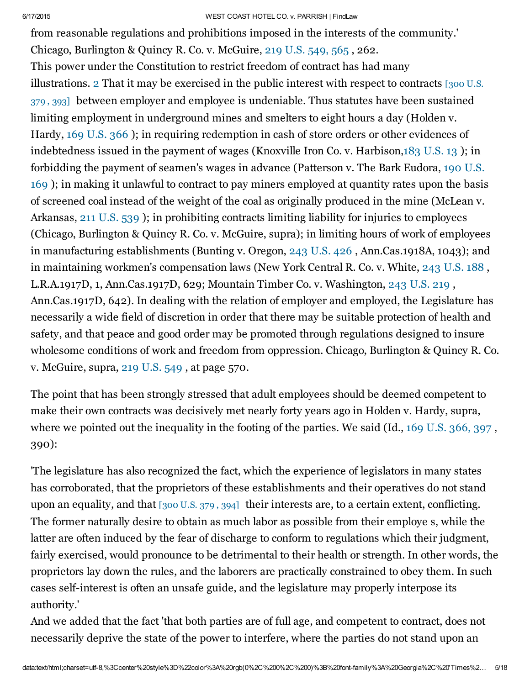from reasonable regulations and prohibitions imposed in the interests of the community.' Chicago, Burlington & Quincy R. Co. v. McGuire, 219 U.S. [549,](http://caselaw.findlaw.com/us-supreme-court/219/549.html#565) 565 , 262. This power under the Constitution to restrict freedom of contract has had many illustrations. [2](http://caselaw.findlaw.com/us-supreme-court/300/379.html#f2) That it may be exercised in the public interest with respect to contracts [300 U.S. 379 , 393] between employer and employee is undeniable. Thus statutes have been sustained limiting employment in underground mines and smelters to eight hours a day (Holden v. Hardy, 169 [U.S.](http://caselaw.findlaw.com/us-supreme-court/169/366.html) 366 ); in requiring redemption in cash of store orders or other evidences of indebtedness issued in the payment of wages (Knoxville Iron Co. v. Harbison,183 [U.S.](http://caselaw.findlaw.com/us-supreme-court/183/13.html) 13 ); in [forbidding](http://caselaw.findlaw.com/us-supreme-court/190/169.html) the payment of seamen's wages in advance (Patterson v. The Bark Eudora, 190 U.S. 169 ); in making it unlawful to contract to pay miners employed at quantity rates upon the basis of screened coal instead of the weight of the coal as originally produced in the mine (McLean v. Arkansas, 211 [U.S.](http://caselaw.findlaw.com/us-supreme-court/211/539.html) 539 ); in prohibiting contracts limiting liability for injuries to employees (Chicago, Burlington & Quincy R. Co. v. McGuire, supra); in limiting hours of work of employees in manufacturing establishments (Bunting v. Oregon, 243 [U.S.](http://caselaw.findlaw.com/us-supreme-court/243/426.html) 426 , Ann.Cas.1918A, 1043); and in maintaining workmen's compensation laws (New York Central R. Co. v. White, 243 [U.S.](http://caselaw.findlaw.com/us-supreme-court/243/188.html) 188 , L.R.A.1917D, 1, Ann.Cas.1917D, 629; Mountain Timber Co. v. Washington, 243 [U.S.](http://caselaw.findlaw.com/us-supreme-court/243/219.html) 219 , Ann.Cas.1917D, 642). In dealing with the relation of employer and employed, the Legislature has necessarily a wide field of discretion in order that there may be suitable protection of health and safety, and that peace and good order may be promoted through regulations designed to insure wholesome conditions of work and freedom from oppression. Chicago, Burlington & Quincy R. Co. v. McGuire, supra, 219 [U.S.](http://caselaw.findlaw.com/us-supreme-court/219/549.html) 549 , at page 570.

The point that has been strongly stressed that adult employees should be deemed competent to make their own contracts was decisively met nearly forty years ago in Holden v. Hardy, supra, where we pointed out the inequality in the footing of the parties. We said (Id., 169 U.S. [366,](http://caselaw.findlaw.com/us-supreme-court/169/366.html#397) 397, 390):

'The legislature has also recognized the fact, which the experience of legislators in many states has corroborated, that the proprietors of these establishments and their operatives do not stand upon an equality, and that [300 U.S. 379 , 394] their interests are, to a certain extent, conflicting. The former naturally desire to obtain as much labor as possible from their employe s, while the latter are often induced by the fear of discharge to conform to regulations which their judgment, fairly exercised, would pronounce to be detrimental to their health or strength. In other words, the proprietors lay down the rules, and the laborers are practically constrained to obey them. In such cases self-interest is often an unsafe guide, and the legislature may properly interpose its authority.'

And we added that the fact 'that both parties are of full age, and competent to contract, does not necessarily deprive the state of the power to interfere, where the parties do not stand upon an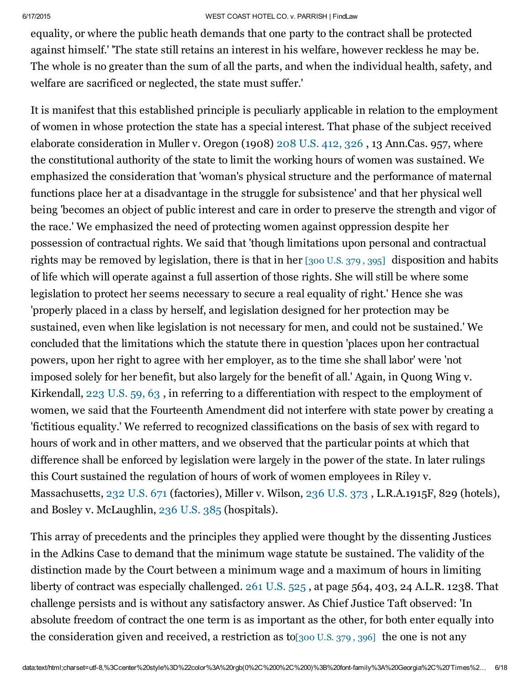equality, or where the public heath demands that one party to the contract shall be protected against himself.' 'The state still retains an interest in his welfare, however reckless he may be. The whole is no greater than the sum of all the parts, and when the individual health, safety, and welfare are sacrificed or neglected, the state must suffer.'

It is manifest that this established principle is peculiarly applicable in relation to the employment of women in whose protection the state has a special interest. That phase of the subject received elaborate consideration in Muller v. Oregon (1908) 208 [U.S.](http://caselaw.findlaw.com/us-supreme-court/208/412.html#326) 412, 326 , 13 Ann.Cas. 957, where the constitutional authority of the state to limit the working hours of women was sustained. We emphasized the consideration that 'woman's physical structure and the performance of maternal functions place her at a disadvantage in the struggle for subsistence' and that her physical well being 'becomes an object of public interest and care in order to preserve the strength and vigor of the race.' We emphasized the need of protecting women against oppression despite her possession of contractual rights. We said that 'though limitations upon personal and contractual rights may be removed by legislation, there is that in her [300 U.S. 379 , 395] disposition and habits of life which will operate against a full assertion of those rights. She will still be where some legislation to protect her seems necessary to secure a real equality of right.' Hence she was 'properly placed in a class by herself, and legislation designed for her protection may be sustained, even when like legislation is not necessary for men, and could not be sustained.' We concluded that the limitations which the statute there in question 'places upon her contractual powers, upon her right to agree with her employer, as to the time she shall labor' were 'not imposed solely for her benefit, but also largely for the benefit of all.' Again, in Quong Wing v. Kirkendall, 223 [U.S.](http://caselaw.findlaw.com/us-supreme-court/223/59.html#63) 59, 63 , in referring to a differentiation with respect to the employment of women, we said that the Fourteenth Amendment did not interfere with state power by creating a 'fictitious equality.' We referred to recognized classifications on the basis of sex with regard to hours of work and in other matters, and we observed that the particular points at which that difference shall be enforced by legislation were largely in the power of the state. In later rulings this Court sustained the regulation of hours of work of women employees in Riley v. Massachusetts, 232 [U.S.](http://caselaw.findlaw.com/us-supreme-court/232/671.html) 671 (factories), Miller v. Wilson, 236 [U.S.](http://caselaw.findlaw.com/us-supreme-court/236/373.html) 373 , L.R.A.1915F, 829 (hotels), and Bosley v. McLaughlin, 236 [U.S.](http://caselaw.findlaw.com/us-supreme-court/236/385.html) 385 (hospitals).

This array of precedents and the principles they applied were thought by the dissenting Justices in the Adkins Case to demand that the minimum wage statute be sustained. The validity of the distinction made by the Court between a minimum wage and a maximum of hours in limiting liberty of contract was especially challenged. 261 [U.S.](http://caselaw.findlaw.com/us-supreme-court/261/525.html) 525, at page 564, 403, 24 A.L.R. 1238. That challenge persists and is without any satisfactory answer. As Chief Justice Taft observed: 'In absolute freedom of contract the one term is as important as the other, for both enter equally into the consideration given and received, a restriction as to  $[300 \text{ U.S. } 379, 396]$  the one is not any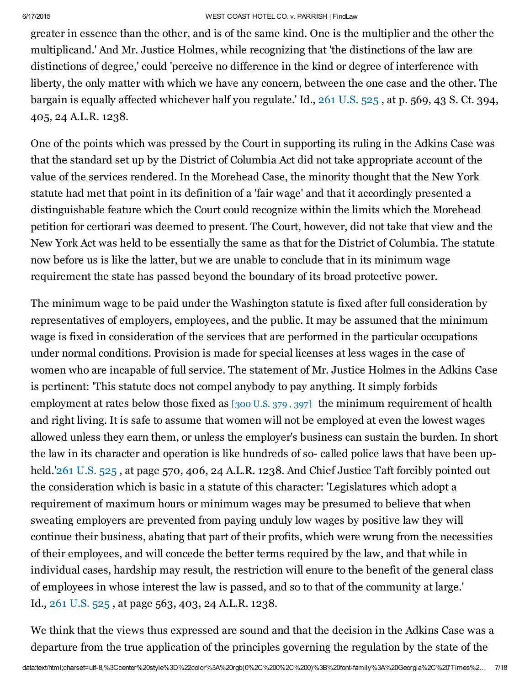greater in essence than the other, and is of the same kind. One is the multiplier and the other the multiplicand.' And Mr. Justice Holmes, while recognizing that 'the distinctions of the law are distinctions of degree,' could 'perceive no difference in the kind or degree of interference with liberty, the only matter with which we have any concern, between the one case and the other. The bargain is equally affected whichever half you regulate.' Id., 261 [U.S.](http://caselaw.findlaw.com/us-supreme-court/261/525.html) 525 , at p. 569, 43 S. Ct. 394, 405, 24 A.L.R. 1238.

One of the points which was pressed by the Court in supporting its ruling in the Adkins Case was that the standard set up by the District of Columbia Act did not take appropriate account of the value of the services rendered. In the Morehead Case, the minority thought that the New York statute had met that point in its definition of a 'fair wage' and that it accordingly presented a distinguishable feature which the Court could recognize within the limits which the Morehead petition for certiorari was deemed to present. The Court, however, did not take that view and the New York Act was held to be essentially the same as that for the District of Columbia. The statute now before us is like the latter, but we are unable to conclude that in its minimum wage requirement the state has passed beyond the boundary of its broad protective power.

The minimum wage to be paid under the Washington statute is fixed after full consideration by representatives of employers, employees, and the public. It may be assumed that the minimum wage is fixed in consideration of the services that are performed in the particular occupations under normal conditions. Provision is made for special licenses at less wages in the case of women who are incapable of full service. The statement of Mr. Justice Holmes in the Adkins Case is pertinent: 'This statute does not compel anybody to pay anything. It simply forbids employment at rates below those fixed as [300 U.S. 379, 397] the minimum requirement of health and right living. It is safe to assume that women will not be employed at even the lowest wages allowed unless they earn them, or unless the employer's business can sustain the burden. In short the law in its character and operation is like hundreds of so-called police laws that have been up-held.'261 [U.S.](http://caselaw.findlaw.com/us-supreme-court/261/525.html) 525, at page 570, 406, 24 A.L.R. 1238. And Chief Justice Taft forcibly pointed out the consideration which is basic in a statute of this character: 'Legislatures which adopt a requirement of maximum hours or minimum wages may be presumed to believe that when sweating employers are prevented from paying unduly low wages by positive law they will continue their business, abating that part of their profits, which were wrung from the necessities of their employees, and will concede the better terms required by the law, and that while in individual cases, hardship may result, the restriction will enure to the benefit of the general class of employees in whose interest the law is passed, and so to that of the community at large.' Id., 261 [U.S.](http://caselaw.findlaw.com/us-supreme-court/261/525.html) 525 , at page 563, 403, 24 A.L.R. 1238.

We think that the views thus expressed are sound and that the decision in the Adkins Case was a departure from the true application of the principles governing the regulation by the state of the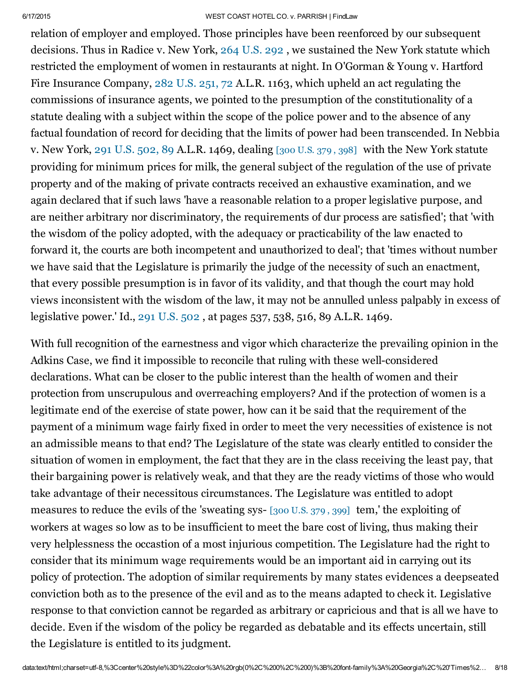relation of employer and employed. Those principles have been reenforced by our subsequent decisions. Thus in Radice v. New York, 264 [U.S.](http://caselaw.findlaw.com/us-supreme-court/264/292.html) 292 , we sustained the New York statute which restricted the employment of women in restaurants at night. In O'Gorman & Young v. Hartford Fire Insurance Company, 282 [U.S.](http://caselaw.findlaw.com/us-supreme-court/282/251.html#72) 251, 72 A.L.R. 1163, which upheld an act regulating the commissions of insurance agents, we pointed to the presumption of the constitutionality of a statute dealing with a subject within the scope of the police power and to the absence of any factual foundation of record for deciding that the limits of power had been transcended. In Nebbia v. New York, 291 U.S. [502,](http://caselaw.findlaw.com/us-supreme-court/291/502.html#89) 89 A.L.R. 1469, dealing [300 U.S. 379 , 398] with the New York statute providing for minimum prices for milk, the general subject of the regulation of the use of private property and of the making of private contracts received an exhaustive examination, and we again declared that if such laws 'have a reasonable relation to a proper legislative purpose, and are neither arbitrary nor discriminatory, the requirements of dur process are satisfied'; that 'with the wisdom of the policy adopted, with the adequacy or practicability of the law enacted to forward it, the courts are both incompetent and unauthorized to deal'; that 'times without number we have said that the Legislature is primarily the judge of the necessity of such an enactment, that every possible presumption is in favor of its validity, and that though the court may hold views inconsistent with the wisdom of the law, it may not be annulled unless palpably in excess of legislative power.' Id., 291 [U.S.](http://caselaw.findlaw.com/us-supreme-court/291/502.html) 502 , at pages 537, 538, 516, 89 A.L.R. 1469.

With full recognition of the earnestness and vigor which characterize the prevailing opinion in the Adkins Case, we find it impossible to reconcile that ruling with these well-considered declarations. What can be closer to the public interest than the health of women and their protection from unscrupulous and overreaching employers? And if the protection of women is a legitimate end of the exercise of state power, how can it be said that the requirement of the payment of a minimum wage fairly fixed in order to meet the very necessities of existence is not an admissible means to that end? The Legislature of the state was clearly entitled to consider the situation of women in employment, the fact that they are in the class receiving the least pay, that their bargaining power is relatively weak, and that they are the ready victims of those who would take advantage of their necessitous circumstances. The Legislature was entitled to adopt measures to reduce the evils of the 'sweating sys- [300 U.S. 379, 399] tem,' the exploiting of workers at wages so low as to be insufficient to meet the bare cost of living, thus making their very helplessness the occastion of a most injurious competition. The Legislature had the right to consider that its minimum wage requirements would be an important aid in carrying out its policy of protection. The adoption of similar requirements by many states evidences a deepseated conviction both as to the presence of the evil and as to the means adapted to check it. Legislative response to that conviction cannot be regarded as arbitrary or capricious and that is all we have to decide. Even if the wisdom of the policy be regarded as debatable and its effects uncertain, still the Legislature is entitled to its judgment.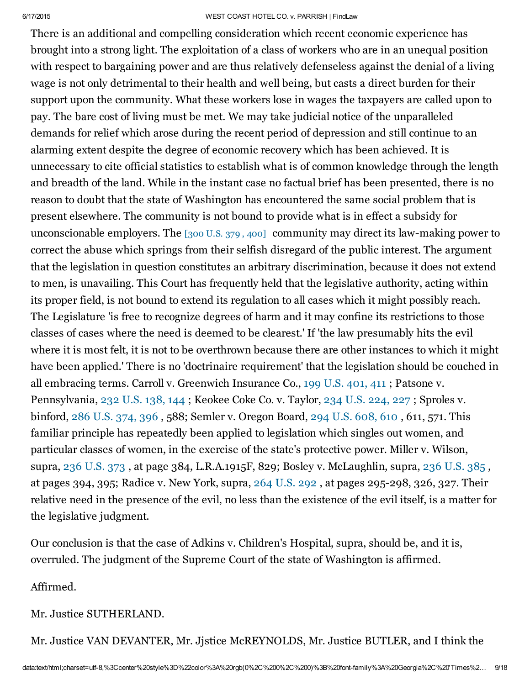There is an additional and compelling consideration which recent economic experience has brought into a strong light. The exploitation of a class of workers who are in an unequal position with respect to bargaining power and are thus relatively defenseless against the denial of a living wage is not only detrimental to their health and well being, but casts a direct burden for their support upon the community. What these workers lose in wages the taxpayers are called upon to pay. The bare cost of living must be met. We may take judicial notice of the unparalleled demands for relief which arose during the recent period of depression and still continue to an alarming extent despite the degree of economic recovery which has been achieved. It is unnecessary to cite official statistics to establish what is of common knowledge through the length and breadth of the land. While in the instant case no factual brief has been presented, there is no reason to doubt that the state of Washington has encountered the same social problem that is present elsewhere. The community is not bound to provide what is in effect a subsidy for unconscionable employers. The  $[300 \text{ U.S. } 379, 400]$  community may direct its law-making power to correct the abuse which springs from their selfish disregard of the public interest. The argument that the legislation in question constitutes an arbitrary discrimination, because it does not extend to men, is unavailing. This Court has frequently held that the legislative authority, acting within its proper field, is not bound to extend its regulation to all cases which it might possibly reach. The Legislature 'is free to recognize degrees of harm and it may confine its restrictions to those classes of cases where the need is deemed to be clearest.' If 'the law presumably hits the evil where it is most felt, it is not to be overthrown because there are other instances to which it might have been applied.' There is no 'doctrinaire requirement' that the legislation should be couched in all embracing terms. Carroll v. Greenwich Insurance Co., 199 U.S. [401,](http://caselaw.findlaw.com/us-supreme-court/199/401.html#411) 411 ; Patsone v. Pennsylvania, 232 U.S. [138,](http://caselaw.findlaw.com/us-supreme-court/232/138.html#144) 144 ; Keokee Coke Co. v. Taylor, 234 U.S. [224,](http://caselaw.findlaw.com/us-supreme-court/234/224.html#227) 227 ; Sproles v. binford, 286 U.S. [374,](http://caselaw.findlaw.com/us-supreme-court/286/374.html#396) 396 , 588; Semler v. Oregon Board, 294 U.S. [608,](http://caselaw.findlaw.com/us-supreme-court/294/608.html#610) 610 , 611, 571. This familiar principle has repeatedly been applied to legislation which singles out women, and particular classes of women, in the exercise of the state's protective power. Miller v. Wilson, supra, 236 [U.S.](http://caselaw.findlaw.com/us-supreme-court/236/373.html) 373 , at page 384, L.R.A.1915F, 829; Bosley v. McLaughlin, supra, 236 [U.S.](http://caselaw.findlaw.com/us-supreme-court/236/385.html) 385 , at pages 394, 395; Radice v. New York, supra, 264 [U.S.](http://caselaw.findlaw.com/us-supreme-court/264/292.html) 292, at pages 295-298, 326, 327. Their relative need in the presence of the evil, no less than the existence of the evil itself, is a matter for the legislative judgment.

Our conclusion is that the case of Adkins v. Children's Hospital, supra, should be, and it is, overruled. The judgment of the Supreme Court of the state of Washington is affirmed.

Affirmed.

Mr. Justice SUTHERLAND.

Mr. Justice VAN DEVANTER, Mr. Jjstice McREYNOLDS, Mr. Justice BUTLER, and I think the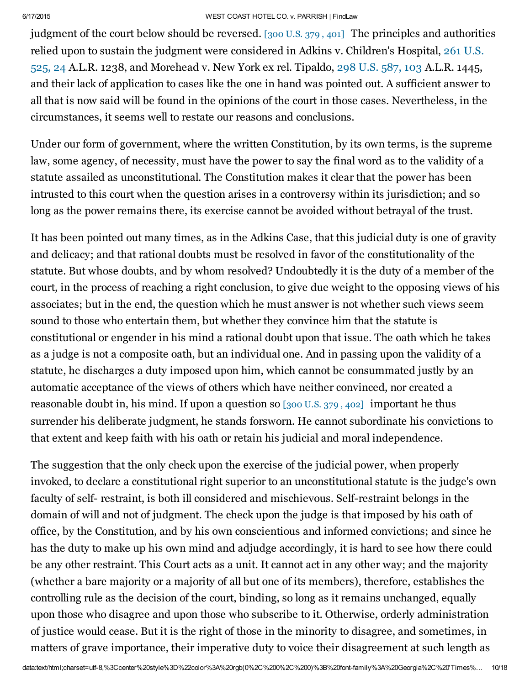judgment of the court below should be reversed. [300 U.S. 379 , 401] The principles and authorities relied upon to sustain the judgment were [considered](http://caselaw.findlaw.com/us-supreme-court/261/525.html#24) in Adkins v. Children's Hospital, 261 U.S. 525, 24 A.L.R. 1238, and Morehead v. New York ex rel. Tipaldo, 298 [U.S.](http://caselaw.findlaw.com/us-supreme-court/298/587.html#103) 587, 103 A.L.R. 1445, and their lack of application to cases like the one in hand was pointed out. A sufficient answer to all that is now said will be found in the opinions of the court in those cases. Nevertheless, in the circumstances, it seems well to restate our reasons and conclusions.

Under our form of government, where the written Constitution, by its own terms, is the supreme law, some agency, of necessity, must have the power to say the final word as to the validity of a statute assailed as unconstitutional. The Constitution makes it clear that the power has been intrusted to this court when the question arises in a controversy within its jurisdiction; and so long as the power remains there, its exercise cannot be avoided without betrayal of the trust.

It has been pointed out many times, as in the Adkins Case, that this judicial duty is one of gravity and delicacy; and that rational doubts must be resolved in favor of the constitutionality of the statute. But whose doubts, and by whom resolved? Undoubtedly it is the duty of a member of the court, in the process of reaching a right conclusion, to give due weight to the opposing views of his associates; but in the end, the question which he must answer is not whether such views seem sound to those who entertain them, but whether they convince him that the statute is constitutional or engender in his mind a rational doubt upon that issue. The oath which he takes as a judge is not a composite oath, but an individual one. And in passing upon the validity of a statute, he discharges a duty imposed upon him, which cannot be consummated justly by an automatic acceptance of the views of others which have neither convinced, nor created a reasonable doubt in, his mind. If upon a question so [300 U.S. 379 , 402] important he thus surrender his deliberate judgment, he stands forsworn. He cannot subordinate his convictions to that extent and keep faith with his oath or retain his judicial and moral independence.

The suggestion that the only check upon the exercise of the judicial power, when properly invoked, to declare a constitutional right superior to an unconstitutional statute is the judge's own faculty of self-restraint, is both ill considered and mischievous. Self-restraint belongs in the domain of will and not of judgment. The check upon the judge is that imposed by his oath of office, by the Constitution, and by his own conscientious and informed convictions; and since he has the duty to make up his own mind and adjudge accordingly, it is hard to see how there could be any other restraint. This Court acts as a unit. It cannot act in any other way; and the majority (whether a bare majority or a majority of all but one of its members), therefore, establishes the controlling rule as the decision of the court, binding, so long as it remains unchanged, equally upon those who disagree and upon those who subscribe to it. Otherwise, orderly administration of justice would cease. But it is the right of those in the minority to disagree, and sometimes, in matters of grave importance, their imperative duty to voice their disagreement at such length as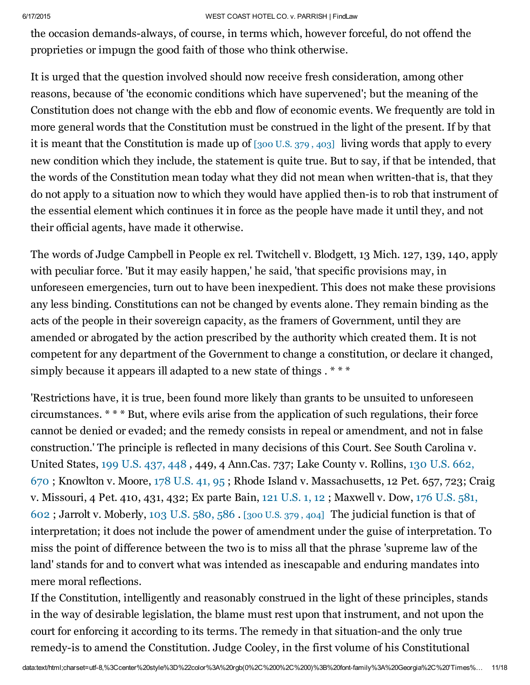the occasion demands-always, of course, in terms which, however forceful, do not offend the proprieties or impugn the good faith of those who think otherwise.

It is urged that the question involved should now receive fresh consideration, among other reasons, because of 'the economic conditions which have supervened'; but the meaning of the Constitution does not change with the ebb and flow of economic events. We frequently are told in more general words that the Constitution must be construed in the light of the present. If by that it is meant that the Constitution is made up of [300 U.S. 379 , 403] living words that apply to every new condition which they include, the statement is quite true. But to say, if that be intended, that the words of the Constitution mean today what they did not mean when written-that is, that they do not apply to a situation now to which they would have applied then-is to rob that instrument of the essential element which continues it in force as the people have made it until they, and not their official agents, have made it otherwise.

The words of Judge Campbell in People ex rel. Twitchell v. Blodgett, 13 Mich. 127, 139, 140, apply with peculiar force. 'But it may easily happen,' he said, 'that specific provisions may, in unforeseen emergencies, turn out to have been inexpedient. This does not make these provisions any less binding. Constitutions can not be changed by events alone. They remain binding as the acts of the people in their sovereign capacity, as the framers of Government, until they are amended or abrogated by the action prescribed by the authority which created them. It is not competent for any department of the Government to change a constitution, or declare it changed, simply because it appears ill adapted to a new state of things . \*\*\*

'Restrictions have, it is true, been found more likely than grants to be unsuited to unforeseen circumstances. \* \* \* But, where evils arise from the application of such regulations, their force cannot be denied or evaded; and the remedy consists in repeal or amendment, and not in false construction.' The principle is reflected in many decisions of this Court. See South Carolina v. United States, 199 U.S. [437,](http://caselaw.findlaw.com/us-supreme-court/199/437.html#448) 448 , 449, 4 Ann.Cas. 737; Lake County v. Rollins, 130 U.S. 662, 670 ; Knowlton v. Moore, 178 [U.S.](http://caselaw.findlaw.com/us-supreme-court/178/41.html#95) 41, 95 ; Rhode Island v. [Massachusetts,](http://caselaw.findlaw.com/us-supreme-court/130/662.html#670) 12 Pet. 657, 723; Craig v. [Missouri,](http://caselaw.findlaw.com/us-supreme-court/176/581.html#602) 4 Pet. 410, 431, 432; Ex parte Bain, 121 [U.S.](http://caselaw.findlaw.com/us-supreme-court/121/1.html#12) 1, 12 ; Maxwell v. Dow, 176 U.S. 581, 602 ; Jarrolt v. Moberly, 103 U.S. [580,](http://caselaw.findlaw.com/us-supreme-court/103/580.html#586) 586 . [300 U.S. 379 , 404] The judicial function is that of interpretation; it does not include the power of amendment under the guise of interpretation. To miss the point of difference between the two is to miss all that the phrase 'supreme law of the land' stands for and to convert what was intended as inescapable and enduring mandates into mere moral reflections.

If the Constitution, intelligently and reasonably construed in the light of these principles, stands in the way of desirable legislation, the blame must rest upon that instrument, and not upon the court for enforcing it according to its terms. The remedy in that situation-and the only true remedy-is to amend the Constitution. Judge Cooley, in the first volume of his Constitutional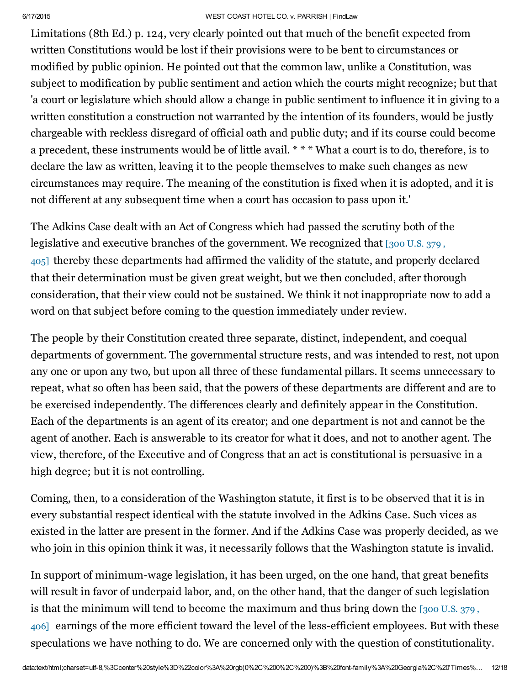Limitations (8th Ed.) p. 124, very clearly pointed out that much of the benefit expected from written Constitutions would be lost if their provisions were to be bent to circumstances or modified by public opinion. He pointed out that the common law, unlike a Constitution, was subject to modification by public sentiment and action which the courts might recognize; but that 'a court or legislature which should allow a change in public sentiment to influence it in giving to a written constitution a construction not warranted by the intention of its founders, would be justly chargeable with reckless disregard of official oath and public duty; and if its course could become a precedent, these instruments would be of little avail. \* \* \* What a court is to do, therefore, is to declare the law as written, leaving it to the people themselves to make such changes as new circumstances may require. The meaning of the constitution is fixed when it is adopted, and it is not different at any subsequent time when a court has occasion to pass upon it.'

The Adkins Case dealt with an Act of Congress which had passed the scrutiny both of the legislative and executive branches of the government. We recognized that [300 U.S. 379, 405] thereby these departments had affirmed the validity of the statute, and properly declared that their determination must be given great weight, but we then concluded, after thorough consideration, that their view could not be sustained. We think it not inappropriate now to add a word on that subject before coming to the question immediately under review.

The people by their Constitution created three separate, distinct, independent, and coequal departments of government. The governmental structure rests, and was intended to rest, not upon any one or upon any two, but upon all three of these fundamental pillars. It seems unnecessary to repeat, what so often has been said, that the powers of these departments are different and are to be exercised independently. The differences clearly and definitely appear in the Constitution. Each of the departments is an agent of its creator; and one department is not and cannot be the agent of another. Each is answerable to its creator for what it does, and not to another agent. The view, therefore, of the Executive and of Congress that an act is constitutional is persuasive in a high degree; but it is not controlling.

Coming, then, to a consideration of the Washington statute, it first is to be observed that it is in every substantial respect identical with the statute involved in the Adkins Case. Such vices as existed in the latter are present in the former. And if the Adkins Case was properly decided, as we who join in this opinion think it was, it necessarily follows that the Washington statute is invalid.

In support of minimum-wage legislation, it has been urged, on the one hand, that great benefits will result in favor of underpaid labor, and, on the other hand, that the danger of such legislation is that the minimum will tend to become the maximum and thus bring down the [300 U.S. 379, 406] earnings of the more efficient toward the level of the less-efficient employees. But with these speculations we have nothing to do. We are concerned only with the question of constitutionality.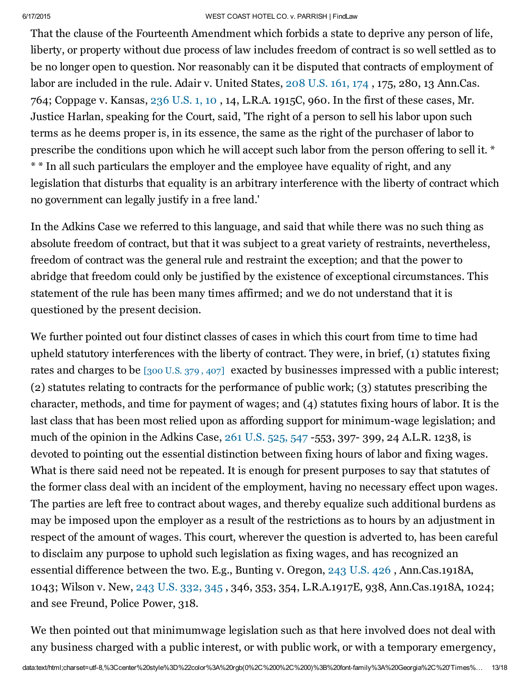That the clause of the Fourteenth Amendment which forbids a state to deprive any person of life, liberty, or property without due process of law includes freedom of contract is so well settled as to be no longer open to question. Nor reasonably can it be disputed that contracts of employment of labor are included in the rule. Adair v. United States, 208 [U.S.](http://caselaw.findlaw.com/us-supreme-court/208/161.html#174) 161, 174 , 175, 280, 13 Ann.Cas. 764; Coppage v. Kansas, 236 [U.S.](http://caselaw.findlaw.com/us-supreme-court/236/1.html#10) 1, 10 , 14, L.R.A. 1915C, 960. In the first of these cases, Mr. Justice Harlan, speaking for the Court, said, 'The right of a person to sell his labor upon such terms as he deems proper is, in its essence, the same as the right of the purchaser of labor to prescribe the conditions upon which he will accept such labor from the person offering to sell it. \* \* \* In all such particulars the employer and the employee have equality of right, and any legislation that disturbs that equality is an arbitrary interference with the liberty of contract which no government can legally justify in a free land.'

In the Adkins Case we referred to this language, and said that while there was no such thing as absolute freedom of contract, but that it was subject to a great variety of restraints, nevertheless, freedom of contract was the general rule and restraint the exception; and that the power to abridge that freedom could only be justified by the existence of exceptional circumstances. This statement of the rule has been many times affirmed; and we do not understand that it is questioned by the present decision.

We further pointed out four distinct classes of cases in which this court from time to time had upheld statutory interferences with the liberty of contract. They were, in brief, (1) statutes fixing rates and charges to be [300 U.S. 379 , 407] exacted by businesses impressed with a public interest; (2) statutes relating to contracts for the performance of public work; (3) statutes prescribing the character, methods, and time for payment of wages; and (4) statutes fixing hours of labor. It is the last class that has been most relied upon as affording support for minimum-wage legislation; and much of the opinion in the Adkins Case, 261 [U.S.](http://caselaw.findlaw.com/us-supreme-court/261/525.html#547) 525, 547-553, 397-399, 24 A.L.R. 1238, is devoted to pointing out the essential distinction between fixing hours of labor and fixing wages. What is there said need not be repeated. It is enough for present purposes to say that statutes of the former class deal with an incident of the employment, having no necessary effect upon wages. The parties are left free to contract about wages, and thereby equalize such additional burdens as may be imposed upon the employer as a result of the restrictions as to hours by an adjustment in respect of the amount of wages. This court, wherever the question is adverted to, has been careful to disclaim any purpose to uphold such legislation as fixing wages, and has recognized an essential difference between the two. E.g., Bunting v. Oregon, 243 [U.S.](http://caselaw.findlaw.com/us-supreme-court/243/426.html) 426 , Ann.Cas.1918A, 1043; Wilson v. New, 243 U.S. [332,](http://caselaw.findlaw.com/us-supreme-court/243/332.html#345) 345 , 346, 353, 354, L.R.A.1917E, 938, Ann.Cas.1918A, 1024; and see Freund, Police Power, 318.

We then pointed out that minimumwage legislation such as that here involved does not deal with any business charged with a public interest, or with public work, or with a temporary emergency,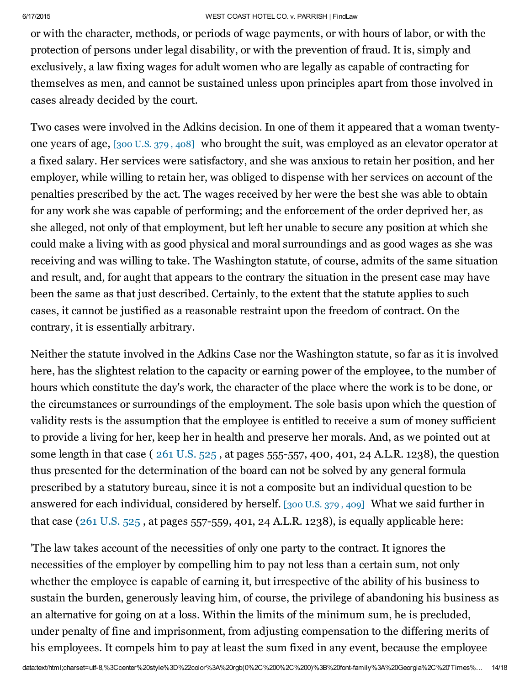or with the character, methods, or periods of wage payments, or with hours of labor, or with the protection of persons under legal disability, or with the prevention of fraud. It is, simply and exclusively, a law fixing wages for adult women who are legally as capable of contracting for themselves as men, and cannot be sustained unless upon principles apart from those involved in cases already decided by the court.

Two cases were involved in the Adkins decision. In one of them it appeared that a woman twentyone years of age, [300 U.S. 379 , 408] who brought the suit, was employed as an elevator operator at a fixed salary. Her services were satisfactory, and she was anxious to retain her position, and her employer, while willing to retain her, was obliged to dispense with her services on account of the penalties prescribed by the act. The wages received by her were the best she was able to obtain for any work she was capable of performing; and the enforcement of the order deprived her, as she alleged, not only of that employment, but left her unable to secure any position at which she could make a living with as good physical and moral surroundings and as good wages as she was receiving and was willing to take. The Washington statute, of course, admits of the same situation and result, and, for aught that appears to the contrary the situation in the present case may have been the same as that just described. Certainly, to the extent that the statute applies to such cases, it cannot be justified as a reasonable restraint upon the freedom of contract. On the contrary, it is essentially arbitrary.

Neither the statute involved in the Adkins Case nor the Washington statute, so far as it is involved here, has the slightest relation to the capacity or earning power of the employee, to the number of hours which constitute the day's work, the character of the place where the work is to be done, or the circumstances or surroundings of the employment. The sole basis upon which the question of validity rests is the assumption that the employee is entitled to receive a sum of money sufficient to provide a living for her, keep her in health and preserve her morals. And, as we pointed out at some length in that case ( $261$  [U.S.](http://caselaw.findlaw.com/us-supreme-court/261/525.html)  $525$ , at pages 555-557, 400, 401, 24 A.L.R. 1238), the question thus presented for the determination of the board can not be solved by any general formula prescribed by a statutory bureau, since it is not a composite but an individual question to be answered for each individual, considered by herself. [300 U.S. 379 , 409] What we said further in that case (261 [U.S.](http://caselaw.findlaw.com/us-supreme-court/261/525.html)  $525$ , at pages 557-559, 401, 24 A.L.R. 1238), is equally applicable here:

'The law takes account of the necessities of only one party to the contract. It ignores the necessities of the employer by compelling him to pay not less than a certain sum, not only whether the employee is capable of earning it, but irrespective of the ability of his business to sustain the burden, generously leaving him, of course, the privilege of abandoning his business as an alternative for going on at a loss. Within the limits of the minimum sum, he is precluded, under penalty of fine and imprisonment, from adjusting compensation to the differing merits of his employees. It compels him to pay at least the sum fixed in any event, because the employee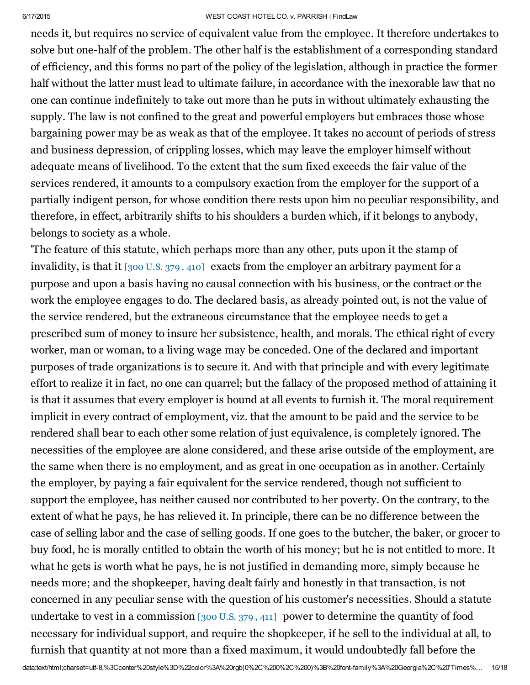needs it, but requires no service of equivalent value from the employee. It therefore undertakes to solve but one-half of the problem. The other half is the establishment of a corresponding standard of efficiency, and this forms no part of the policy of the legislation, although in practice the former half without the latter must lead to ultimate failure, in accordance with the inexorable law that no one can continue indefinitely to take out more than he puts in without ultimately exhausting the supply. The law is not confined to the great and powerful employers but embraces those whose bargaining power may be as weak as that of the employee. It takes no account of periods of stress and business depression, of crippling losses, which may leave the employer himself without adequate means of livelihood. To the extent that the sum fixed exceeds the fair value of the services rendered, it amounts to a compulsory exaction from the employer for the support of a partially indigent person, for whose condition there rests upon him no peculiar responsibility, and therefore, in effect, arbitrarily shifts to his shoulders a burden which, if it belongs to anybody, belongs to society as a whole.

'The feature of this statute, which perhaps more than any other, puts upon it the stamp of invalidity, is that it [300 U.S. 379 , 410] exacts from the employer an arbitrary payment for a purpose and upon a basis having no causal connection with his business, or the contract or the work the employee engages to do. The declared basis, as already pointed out, is not the value of the service rendered, but the extraneous circumstance that the employee needs to get a prescribed sum of money to insure her subsistence, health, and morals. The ethical right of every worker, man or woman, to a living wage may be conceded. One of the declared and important purposes of trade organizations is to secure it. And with that principle and with every legitimate effort to realize it in fact, no one can quarrel; but the fallacy of the proposed method of attaining it is that it assumes that every employer is bound at all events to furnish it. The moral requirement implicit in every contract of employment, viz. that the amount to be paid and the service to be rendered shall bear to each other some relation of just equivalence, is completely ignored. The necessities of the employee are alone considered, and these arise outside of the employment, are the same when there is no employment, and as great in one occupation as in another. Certainly the employer, by paying a fair equivalent for the service rendered, though not sufficient to support the employee, has neither caused nor contributed to her poverty. On the contrary, to the extent of what he pays, he has relieved it. In principle, there can be no difference between the case of selling labor and the case of selling goods. If one goes to the butcher, the baker, or grocer to buy food, he is morally entitled to obtain the worth of his money; but he is not entitled to more. It what he gets is worth what he pays, he is not justified in demanding more, simply because he needs more; and the shopkeeper, having dealt fairly and honestly in that transaction, is not concerned in any peculiar sense with the question of his customer's necessities. Should a statute undertake to vest in a commission [300 U.S. 379 , 411] power to determine the quantity of food necessary for individual support, and require the shopkeeper, if he sell to the individual at all, to furnish that quantity at not more than a fixed maximum, it would undoubtedly fall before the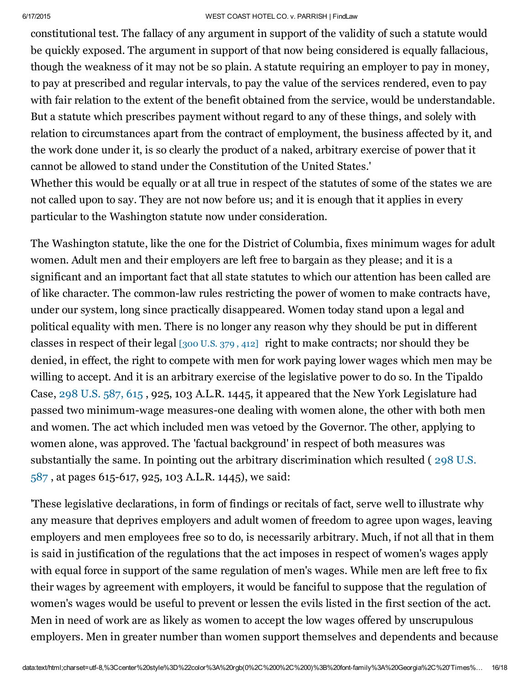constitutional test. The fallacy of any argument in support of the validity of such a statute would be quickly exposed. The argument in support of that now being considered is equally fallacious, though the weakness of it may not be so plain. A statute requiring an employer to pay in money, to pay at prescribed and regular intervals, to pay the value of the services rendered, even to pay with fair relation to the extent of the benefit obtained from the service, would be understandable. But a statute which prescribes payment without regard to any of these things, and solely with relation to circumstances apart from the contract of employment, the business affected by it, and the work done under it, is so clearly the product of a naked, arbitrary exercise of power that it cannot be allowed to stand under the Constitution of the United States.' Whether this would be equally or at all true in respect of the statutes of some of the states we are not called upon to say. They are not now before us; and it is enough that it applies in every

particular to the Washington statute now under consideration.

The Washington statute, like the one for the District of Columbia, fixes minimum wages for adult women. Adult men and their employers are left free to bargain as they please; and it is a significant and an important fact that all state statutes to which our attention has been called are of like character. The common-law rules restricting the power of women to make contracts have, under our system, long since practically disappeared. Women today stand upon a legal and political equality with men. There is no longer any reason why they should be put in different classes in respect of their legal [300 U.S. 379 , 412] right to make contracts; nor should they be denied, in effect, the right to compete with men for work paying lower wages which men may be willing to accept. And it is an arbitrary exercise of the legislative power to do so. In the Tipaldo Case, 298 U.S. [587,](http://caselaw.findlaw.com/us-supreme-court/298/587.html#615) 615 , 925, 103 A.L.R. 1445, it appeared that the New York Legislature had passed two minimum-wage measures-one dealing with women alone, the other with both men and women. The act which included men was vetoed by the Governor. The other, applying to women alone, was approved. The 'factual background' in respect of both measures was substantially the same. In pointing out the arbitrary [discrimination](http://caselaw.findlaw.com/us-supreme-court/298/587.html) which resulted ( 298 U.S.  $587$ , at pages 615-617, 925, 103 A.L.R. 1445), we said:

'These legislative declarations, in form of findings or recitals of fact, serve well to illustrate why any measure that deprives employers and adult women of freedom to agree upon wages, leaving employers and men employees free so to do, is necessarily arbitrary. Much, if not all that in them is said in justification of the regulations that the act imposes in respect of women's wages apply with equal force in support of the same regulation of men's wages. While men are left free to fix their wages by agreement with employers, it would be fanciful to suppose that the regulation of women's wages would be useful to prevent or lessen the evils listed in the first section of the act. Men in need of work are as likely as women to accept the low wages offered by unscrupulous employers. Men in greater number than women support themselves and dependents and because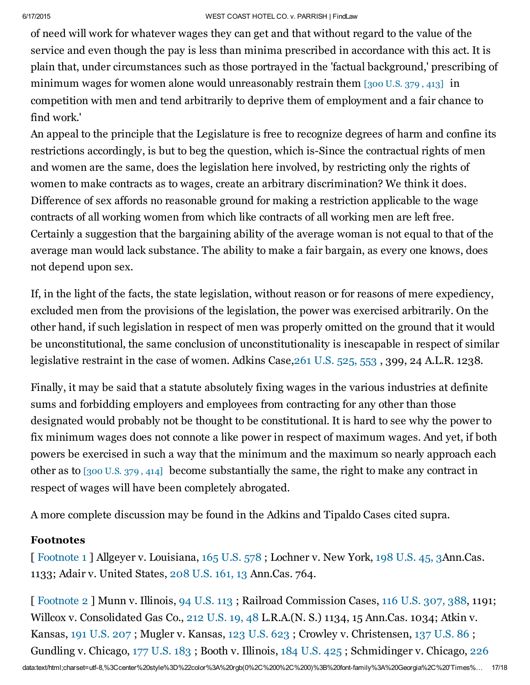of need will work for whatever wages they can get and that without regard to the value of the service and even though the pay is less than minima prescribed in accordance with this act. It is plain that, under circumstances such as those portrayed in the 'factual background,' prescribing of minimum wages for women alone would unreasonably restrain them [300 U.S. 379, 413] in competition with men and tend arbitrarily to deprive them of employment and a fair chance to find work.'

An appeal to the principle that the Legislature is free to recognize degrees of harm and confine its restrictions accordingly, is but to beg the question, which is-Since the contractual rights of men and women are the same, does the legislation here involved, by restricting only the rights of women to make contracts as to wages, create an arbitrary discrimination? We think it does. Difference of sex affords no reasonable ground for making a restriction applicable to the wage contracts of all working women from which like contracts of all working men are left free. Certainly a suggestion that the bargaining ability of the average woman is not equal to that of the average man would lack substance. The ability to make a fair bargain, as every one knows, does not depend upon sex.

If, in the light of the facts, the state legislation, without reason or for reasons of mere expediency, excluded men from the provisions of the legislation, the power was exercised arbitrarily. On the other hand, if such legislation in respect of men was properly omitted on the ground that it would be unconstitutional, the same conclusion of unconstitutionality is inescapable in respect of similar legislative restraint in the case of women. Adkins Case,261 [U.S.](http://caselaw.findlaw.com/us-supreme-court/261/525.html#553) 525, 553 , 399, 24 A.L.R. 1238.

Finally, it may be said that a statute absolutely fixing wages in the various industries at definite sums and forbidding employers and employees from contracting for any other than those designated would probably not be thought to be constitutional. It is hard to see why the power to fix minimum wages does not connote a like power in respect of maximum wages. And yet, if both powers be exercised in such a way that the minimum and the maximum so nearly approach each other as to [300 U.S. 379 , 414] become substantially the same, the right to make any contract in respect of wages will have been completely abrogated.

A more complete discussion may be found in the Adkins and Tipaldo Cases cited supra.

# Footnotes

[ [Footnote](http://caselaw.findlaw.com/us-supreme-court/300/379.html#t1) 1 ] Allgeyer v. Louisiana, 165 [U.S.](http://caselaw.findlaw.com/us-supreme-court/165/578.html) 578 ; Lochner v. New York, 198 [U.S.](http://caselaw.findlaw.com/us-supreme-court/198/45.html#3) 45, 3Ann.Cas. 1133; Adair v. United States, 208 [U.S.](http://caselaw.findlaw.com/us-supreme-court/208/161.html#13) 161, 13 Ann.Cas. 764.

da[ta:text/html;charset=utf8,%3Ccenter%20style%3D%22color%3A%20rgb\(0%2C%200%2C%200\)%3B%20fontfamily%3A%20Georgia%2C%20'Times%…](http://caselaw.findlaw.com/us-supreme-court/226/578.html) 17/18 [ [Footnote](http://caselaw.findlaw.com/us-supreme-court/300/379.html#t2) 2 ] Munn v. Illinois, 94 [U.S.](http://caselaw.findlaw.com/us-supreme-court/94/113.html) 113 ; Railroad Commission Cases, 116 U.S. [307,](http://caselaw.findlaw.com/us-supreme-court/116/307.html#388) 388, 1191; Willcox v. Consolidated Gas Co., 212 [U.S.](http://caselaw.findlaw.com/us-supreme-court/212/19.html#48) 19, 48 L.R.A.(N. S.) 1134, 15 Ann.Cas. 1034; Atkin v. Kansas, 191 [U.S.](http://caselaw.findlaw.com/us-supreme-court/191/207.html) 207 ; Mugler v. Kansas, 123 [U.S.](http://caselaw.findlaw.com/us-supreme-court/123/623.html) 623 ; Crowley v. Christensen, 137 [U.S.](http://caselaw.findlaw.com/us-supreme-court/137/86.html) 86 ; Gundling v. Chicago, 177 [U.S.](http://caselaw.findlaw.com/us-supreme-court/177/183.html) 183 ; Booth v. Illinois, 184 [U.S.](http://caselaw.findlaw.com/us-supreme-court/184/425.html) 425 ; Schmidinger v. Chicago, 226